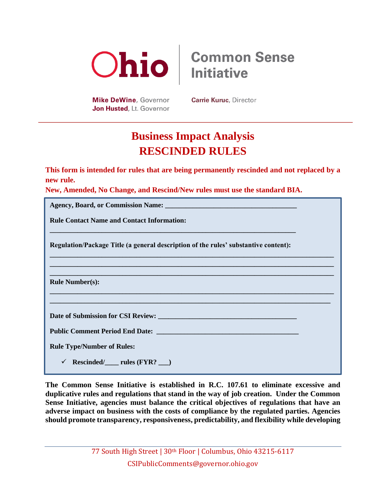

**Mike DeWine, Governor** Jon Husted, Lt. Governor

**Common Sense Initiative** 

**Carrie Kuruc, Director** 

## **Business Impact Analysis RESCINDED RULES**

**This form is intended for rules that are being permanently rescinded and not replaced by a new rule.** 

**New, Amended, No Change, and Rescind/New rules must use the standard BIA.**

| <b>Rule Contact Name and Contact Information:</b>                                   |
|-------------------------------------------------------------------------------------|
| Regulation/Package Title (a general description of the rules' substantive content): |
|                                                                                     |
| <b>Rule Number(s):</b>                                                              |
|                                                                                     |
|                                                                                     |
|                                                                                     |
| <b>Rule Type/Number of Rules:</b>                                                   |
| $Rescinded/\_\_rules (FYR? \_\_)$                                                   |

**The Common Sense Initiative is established in R.C. 107.61 to eliminate excessive and duplicative rules and regulations that stand in the way of job creation. Under the Common Sense Initiative, agencies must balance the critical objectives of regulations that have an adverse impact on business with the costs of compliance by the regulated parties. Agencies should promote transparency, responsiveness, predictability, and flexibility while developing**